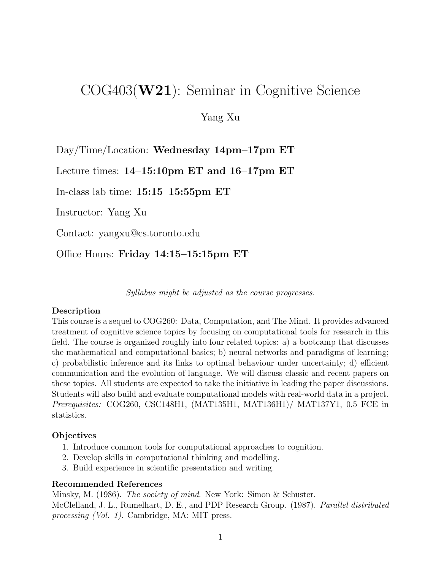# COG403(W21): Seminar in Cognitive Science

# Yang Xu

Day/Time/Location: Wednesday 14pm–17pm ET

Lecture times: 14–15:10pm ET and 16–17pm ET

In-class lab time: 15:15–15:55pm ET

Instructor: Yang Xu

Contact: yangxu@cs.toronto.edu

Office Hours: Friday 14:15–15:15pm ET

Syllabus might be adjusted as the course progresses.

#### Description

This course is a sequel to COG260: Data, Computation, and The Mind. It provides advanced treatment of cognitive science topics by focusing on computational tools for research in this field. The course is organized roughly into four related topics: a) a bootcamp that discusses the mathematical and computational basics; b) neural networks and paradigms of learning; c) probabilistic inference and its links to optimal behaviour under uncertainty; d) efficient communication and the evolution of language. We will discuss classic and recent papers on these topics. All students are expected to take the initiative in leading the paper discussions. Students will also build and evaluate computational models with real-world data in a project. Prerequisites: COG260, CSC148H1, (MAT135H1, MAT136H1)/ MAT137Y1, 0.5 FCE in statistics.

#### **Objectives**

- 1. Introduce common tools for computational approaches to cognition.
- 2. Develop skills in computational thinking and modelling.
- 3. Build experience in scientific presentation and writing.

#### Recommended References

Minsky, M. (1986). The society of mind. New York: Simon & Schuster. McClelland, J. L., Rumelhart, D. E., and PDP Research Group. (1987). Parallel distributed processing (Vol. 1). Cambridge, MA: MIT press.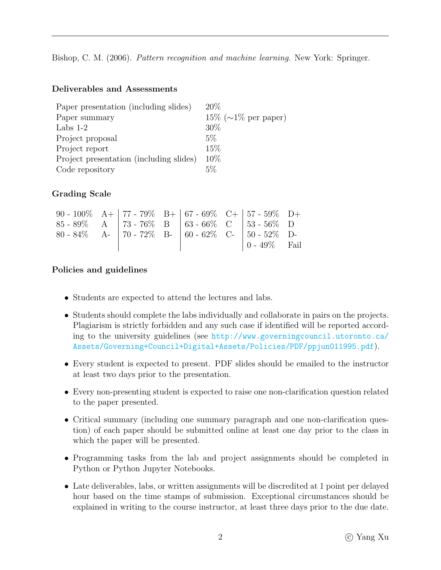Bishop, C. M. (2006). Pattern recognition and machine learning. New York: Springer.

#### Deliverables and Assessments

| Paper presentation (including slides)   | 20%                            |
|-----------------------------------------|--------------------------------|
| Paper summary                           | $15\%$ ( $\sim$ 1\% per paper) |
| Labs $1-2$                              | 30%                            |
| Project proposal                        | 5%                             |
| Project report                          | 15%                            |
| Project presentation (including slides) | 10%                            |
| Code repository                         | 5%                             |

## Grading Scale

| 90 - 100\% A+   77 - 79\% B+   67 - 69\% C+   57 - 59\% D+ |  |  |                                                         |  |
|------------------------------------------------------------|--|--|---------------------------------------------------------|--|
| $85 - 89\%$ A   73 - 76\% B   63 - 66\% C   53 - 56\% D    |  |  |                                                         |  |
| 80 - 84% A-   70 - 72% B-   60 - 62% C-   50 - 52% D-      |  |  |                                                         |  |
|                                                            |  |  | $\begin{bmatrix} 0 & -49\% & \text{Fail} \end{bmatrix}$ |  |

## Policies and guidelines

- Students are expected to attend the lectures and labs.
- Students should complete the labs individually and collaborate in pairs on the projects. Plagiarism is strictly forbidden and any such case if identified will be reported according to the university guidelines (see [http://www.governingcouncil.utoronto.ca/](http://www.governingcouncil.utoronto.ca/Assets/Governing+Council+Digital+Assets/Policies/PDF/ppjun011995.pdf) [Assets/Governing+Council+Digital+Assets/Policies/PDF/ppjun011995.pdf](http://www.governingcouncil.utoronto.ca/Assets/Governing+Council+Digital+Assets/Policies/PDF/ppjun011995.pdf)).
- Every student is expected to present. PDF slides should be emailed to the instructor at least two days prior to the presentation.
- Every non-presenting student is expected to raise one non-clarification question related to the paper presented.
- Critical summary (including one summary paragraph and one non-clarification question) of each paper should be submitted online at least one day prior to the class in which the paper will be presented.
- Programming tasks from the lab and project assignments should be completed in Python or Python Jupyter Notebooks.
- Late deliverables, labs, or written assignments will be discredited at 1 point per delayed hour based on the time stamps of submission. Exceptional circumstances should be explained in writing to the course instructor, at least three days prior to the due date.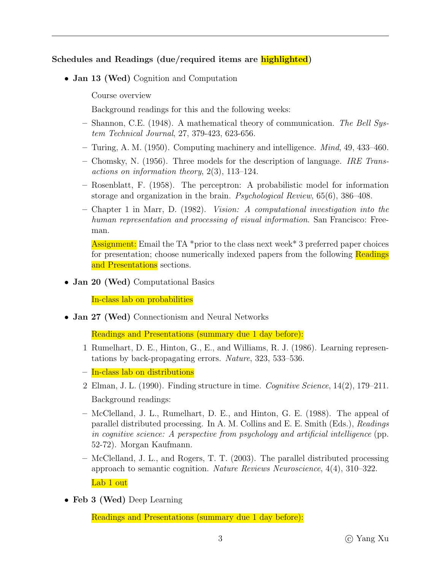# Schedules and Readings (due/required items are highlighted)

- Jan 13 (Wed) Cognition and Computation
	- Course overview
	- Background readings for this and the following weeks:
	- Shannon, C.E. (1948). A mathematical theory of communication. The Bell System Technical Journal, 27, 379-423, 623-656.
	- Turing, A. M. (1950). Computing machinery and intelligence. Mind, 49, 433–460.
	- Chomsky, N. (1956). Three models for the description of language. IRE Transactions on information theory, 2(3), 113–124.
	- Rosenblatt, F. (1958). The perceptron: A probabilistic model for information storage and organization in the brain. Psychological Review, 65(6), 386–408.
	- Chapter 1 in Marr, D. (1982). Vision: A computational investigation into the human representation and processing of visual information. San Francisco: Freeman.

Assignment: Email the TA \*prior to the class next week\* 3 preferred paper choices for presentation; choose numerically indexed papers from the following Readings and Presentations sections.

• Jan 20 (Wed) Computational Basics

In-class lab on probabilities

• Jan 27 (Wed) Connectionism and Neural Networks

Readings and Presentations (summary due 1 day before):

- 1 Rumelhart, D. E., Hinton, G., E., and Williams, R. J. (1986). Learning representations by back-propagating errors. Nature, 323, 533–536.
- In-class lab on distributions
- 2 Elman, J. L. (1990). Finding structure in time. Cognitive Science, 14(2), 179–211. Background readings:
- McClelland, J. L., Rumelhart, D. E., and Hinton, G. E. (1988). The appeal of parallel distributed processing. In A. M. Collins and E. E. Smith (Eds.), Readings in cognitive science: A perspective from psychology and artificial intelligence (pp. 52-72). Morgan Kaufmann.
- McClelland, J. L., and Rogers, T. T. (2003). The parallel distributed processing approach to semantic cognition. Nature Reviews Neuroscience, 4(4), 310–322. Lab 1 out
- Feb 3 (Wed) Deep Learning

Readings and Presentations (summary due 1 day before):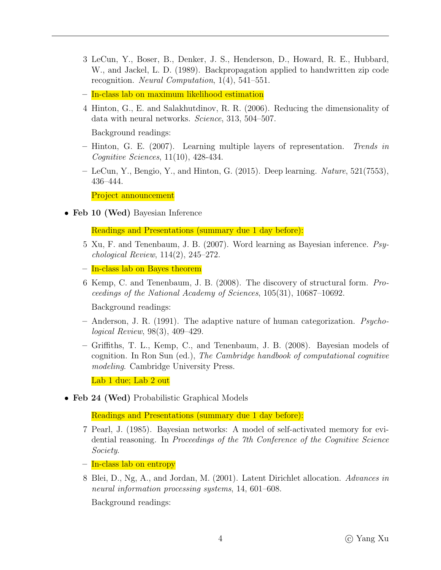- 3 LeCun, Y., Boser, B., Denker, J. S., Henderson, D., Howard, R. E., Hubbard, W., and Jackel, L. D. (1989). Backpropagation applied to handwritten zip code recognition. Neural Computation, 1(4), 541–551.
- In-class lab on maximum likelihood estimation
- 4 Hinton, G., E. and Salakhutdinov, R. R. (2006). Reducing the dimensionality of data with neural networks. Science, 313, 504–507.

Background readings:

- Hinton, G. E. (2007). Learning multiple layers of representation. Trends in Cognitive Sciences, 11(10), 428-434.
- $-$  LeCun, Y., Bengio, Y., and Hinton, G. (2015). Deep learning. *Nature*, 521(7553), 436–444.

Project announcement

• Feb 10 (Wed) Bayesian Inference

Readings and Presentations (summary due 1 day before):

- 5 Xu, F. and Tenenbaum, J. B. (2007). Word learning as Bayesian inference. Psychological Review, 114(2), 245–272.
- In-class lab on Bayes theorem
- 6 Kemp, C. and Tenenbaum, J. B. (2008). The discovery of structural form. Proceedings of the National Academy of Sciences, 105(31), 10687–10692.

Background readings:

- $-$  Anderson, J. R. (1991). The adaptive nature of human categorization. *Psycho*logical Review, 98(3), 409–429.
- Griffiths, T. L., Kemp, C., and Tenenbaum, J. B. (2008). Bayesian models of cognition. In Ron Sun (ed.), The Cambridge handbook of computational cognitive modeling. Cambridge University Press.

Lab 1 due; Lab 2 out

• Feb 24 (Wed) Probabilistic Graphical Models

Readings and Presentations (summary due 1 day before):

- 7 Pearl, J. (1985). Bayesian networks: A model of self-activated memory for evidential reasoning. In Proceedings of the 7th Conference of the Cognitive Science Society.
- In-class lab on entropy
- 8 Blei, D., Ng, A., and Jordan, M. (2001). Latent Dirichlet allocation. Advances in neural information processing systems, 14, 601–608.

Background readings: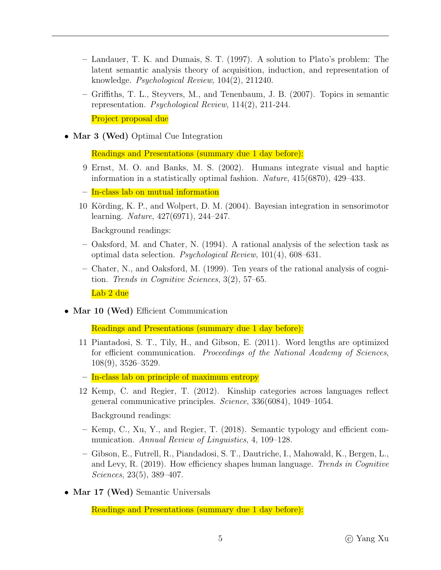- Landauer, T. K. and Dumais, S. T. (1997). A solution to Plato's problem: The latent semantic analysis theory of acquisition, induction, and representation of knowledge. Psychological Review, 104(2), 211240.
- Griffiths, T. L., Steyvers, M., and Tenenbaum, J. B. (2007). Topics in semantic representation. Psychological Review, 114(2), 211-244.

Project proposal due

• Mar 3 (Wed) Optimal Cue Integration

Readings and Presentations (summary due 1 day before):

- 9 Ernst, M. O. and Banks, M. S. (2002). Humans integrate visual and haptic information in a statistically optimal fashion. Nature, 415(6870), 429–433.
- In-class lab on mutual information
- 10 Körding, K. P., and Wolpert, D. M. (2004). Bayesian integration in sensorimotor learning. Nature, 427(6971), 244–247.

Background readings:

- Oaksford, M. and Chater, N. (1994). A rational analysis of the selection task as optimal data selection. Psychological Review, 101(4), 608–631.
- Chater, N., and Oaksford, M. (1999). Ten years of the rational analysis of cognition. Trends in Cognitive Sciences, 3(2), 57–65.

Lab 2 due

• Mar 10 (Wed) Efficient Communication

Readings and Presentations (summary due 1 day before):

- 11 Piantadosi, S. T., Tily, H., and Gibson, E. (2011). Word lengths are optimized for efficient communication. Proceedings of the National Academy of Sciences, 108(9), 3526–3529.
- In-class lab on principle of maximum entropy
- 12 Kemp, C. and Regier, T. (2012). Kinship categories across languages reflect general communicative principles. Science, 336(6084), 1049–1054.

Background readings:

- Kemp, C., Xu, Y., and Regier, T. (2018). Semantic typology and efficient communication. Annual Review of Linguistics, 4, 109–128.
- Gibson, E., Futrell, R., Piandadosi, S. T., Dautriche, I., Mahowald, K., Bergen, L., and Levy, R. (2019). How efficiency shapes human language. Trends in Cognitive Sciences, 23(5), 389–407.
- Mar 17 (Wed) Semantic Universals

Readings and Presentations (summary due 1 day before):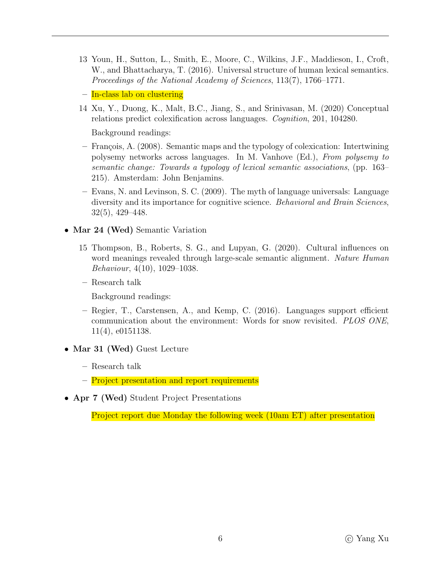- 13 Youn, H., Sutton, L., Smith, E., Moore, C., Wilkins, J.F., Maddieson, I., Croft, W., and Bhattacharya, T. (2016). Universal structure of human lexical semantics. Proceedings of the National Academy of Sciences, 113(7), 1766–1771.
- In-class lab on clustering
- 14 Xu, Y., Duong, K., Malt, B.C., Jiang, S., and Srinivasan, M. (2020) Conceptual relations predict colexification across languages. Cognition, 201, 104280.

Background readings:

- $-$  François, A. (2008). Semantic maps and the typology of colexication: Intertwining polysemy networks across languages. In M. Vanhove (Ed.), From polysemy to semantic change: Towards a typology of lexical semantic associations, (pp. 163– 215). Amsterdam: John Benjamins.
- Evans, N. and Levinson, S. C. (2009). The myth of language universals: Language diversity and its importance for cognitive science. Behavioral and Brain Sciences, 32(5), 429–448.
- Mar 24 (Wed) Semantic Variation
	- 15 Thompson, B., Roberts, S. G., and Lupyan, G. (2020). Cultural influences on word meanings revealed through large-scale semantic alignment. Nature Human Behaviour, 4(10), 1029–1038.
	- Research talk

Background readings:

- Regier, T., Carstensen, A., and Kemp, C. (2016). Languages support efficient communication about the environment: Words for snow revisited. PLOS ONE, 11(4), e0151138.
- Mar 31 (Wed) Guest Lecture
	- Research talk
	- Project presentation and report requirements
- Apr 7 (Wed) Student Project Presentations

Project report due Monday the following week (10am ET) after presentation